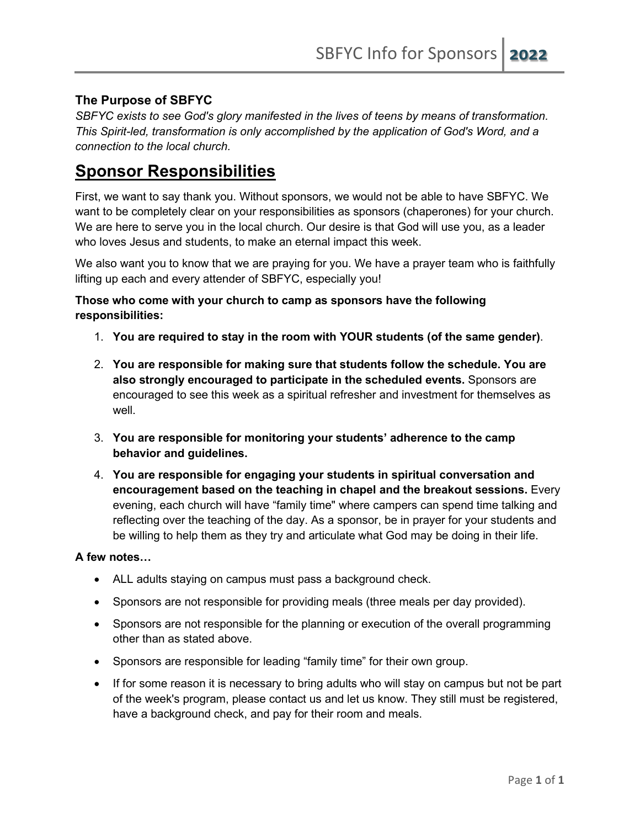# **The Purpose of SBFYC**

*SBFYC exists to see God's glory manifested in the lives of teens by means of transformation. This Spirit-led, transformation is only accomplished by the application of God's Word, and a connection to the local church.*

# **Sponsor Responsibilities**

First, we want to say thank you. Without sponsors, we would not be able to have SBFYC. We want to be completely clear on your responsibilities as sponsors (chaperones) for your church. We are here to serve you in the local church. Our desire is that God will use you, as a leader who loves Jesus and students, to make an eternal impact this week.

We also want you to know that we are praying for you. We have a prayer team who is faithfully lifting up each and every attender of SBFYC, especially you!

#### **Those who come with your church to camp as sponsors have the following responsibilities:**

- 1. **You are required to stay in the room with YOUR students (of the same gender)**.
- 2. **You are responsible for making sure that students follow the schedule. You are also strongly encouraged to participate in the scheduled events.** Sponsors are encouraged to see this week as a spiritual refresher and investment for themselves as well.
- 3. **You are responsible for monitoring your students' adherence to the camp behavior and guidelines.**
- 4. **You are responsible for engaging your students in spiritual conversation and encouragement based on the teaching in chapel and the breakout sessions.** Every evening, each church will have "family time" where campers can spend time talking and reflecting over the teaching of the day. As a sponsor, be in prayer for your students and be willing to help them as they try and articulate what God may be doing in their life.

## **A few notes…**

- ALL adults staying on campus must pass a background check.
- Sponsors are not responsible for providing meals (three meals per day provided).
- Sponsors are not responsible for the planning or execution of the overall programming other than as stated above.
- Sponsors are responsible for leading "family time" for their own group.
- If for some reason it is necessary to bring adults who will stay on campus but not be part of the week's program, please contact us and let us know. They still must be registered, have a background check, and pay for their room and meals.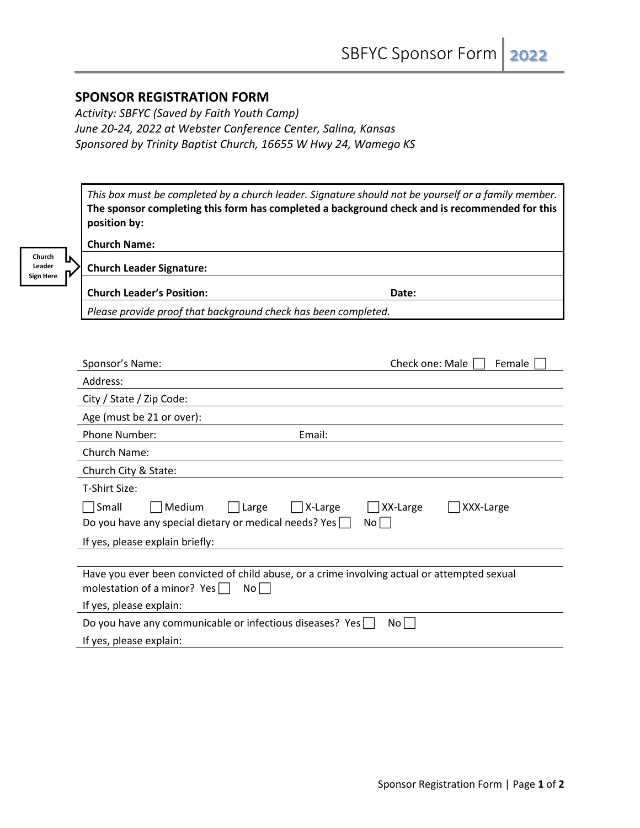# **SPONSOR REGISTRATION FORM**

*Activity: SBFYC (Saved by Faith Youth Camp) June 20-24, 2022 at Webster Conference Center, Salina, Kansas Sponsored by Trinity Baptist Church, 16655 W Hwy 24, Wamego KS*

*This box must be completed by a church leader. Signature should not be yourself or a family member.* **The sponsor completing this form has completed a background check and is recommended for this position by:**

| Church           |  |
|------------------|--|
| Leader           |  |
| <b>Sign Here</b> |  |

| <b>Church Name:</b>      |  |
|--------------------------|--|
| Church Leader Signature: |  |
|                          |  |

| <b>Church Leader's Position:</b><br>Date:                      |
|----------------------------------------------------------------|
| Please provide proof that background check has been completed. |

| Sponsor's Name:                                                                                                                             | Check one: Male<br>Female   |  |  |
|---------------------------------------------------------------------------------------------------------------------------------------------|-----------------------------|--|--|
| Address:                                                                                                                                    |                             |  |  |
| City / State / Zip Code:                                                                                                                    |                             |  |  |
| Age (must be 21 or over):                                                                                                                   |                             |  |  |
| Phone Number:<br>Email:                                                                                                                     |                             |  |  |
| Church Name:                                                                                                                                |                             |  |  |
| Church City & State:                                                                                                                        |                             |  |  |
| T-Shirt Size:                                                                                                                               |                             |  |  |
| Medium<br>Small<br>Large<br>X-Large<br>Do you have any special dietary or medical needs? Yes $\Box$                                         | XX-Large<br>XXX-Large<br>No |  |  |
| If yes, please explain briefly:                                                                                                             |                             |  |  |
|                                                                                                                                             |                             |  |  |
| Have you ever been convicted of child abuse, or a crime involving actual or attempted sexual<br>molestation of a minor? Yes $\Box$<br>Nol I |                             |  |  |
| If yes, please explain:                                                                                                                     |                             |  |  |
| Do you have any communicable or infectious diseases? Yes<br>No I                                                                            |                             |  |  |
| If yes, please explain:                                                                                                                     |                             |  |  |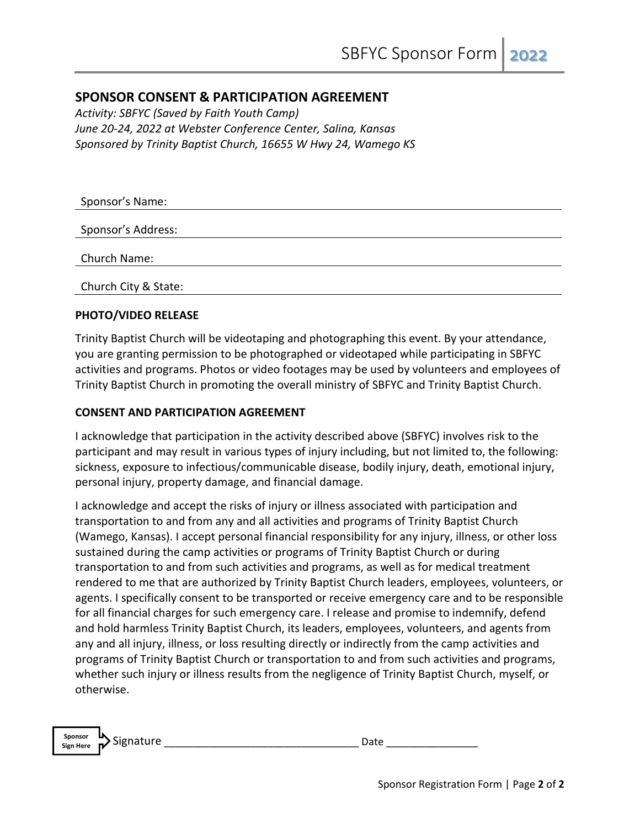# **SPONSOR CONSENT & PARTICIPATION AGREEMENT**

*Activity: SBFYC (Saved by Faith Youth Camp) June 20-24, 2022 at Webster Conference Center, Salina, Kansas Sponsored by Trinity Baptist Church, 16655 W Hwy 24, Wamego KS*

| Sponsor's Name:      |  |
|----------------------|--|
| Sponsor's Address:   |  |
|                      |  |
| Church Name:         |  |
| Church City & State: |  |

#### **PHOTO/VIDEO RELEASE**

Trinity Baptist Church will be videotaping and photographing this event. By your attendance, you are granting permission to be photographed or videotaped while participating in SBFYC activities and programs. Photos or video footages may be used by volunteers and employees of Trinity Baptist Church in promoting the overall ministry of SBFYC and Trinity Baptist Church.

#### **CONSENT AND PARTICIPATION AGREEMENT**

I acknowledge that participation in the activity described above (SBFYC) involves risk to the participant and may result in various types of injury including, but not limited to, the following: sickness, exposure to infectious/communicable disease, bodily injury, death, emotional injury, personal injury, property damage, and financial damage.

I acknowledge and accept the risks of injury or illness associated with participation and transportation to and from any and all activities and programs of Trinity Baptist Church (Wamego, Kansas). I accept personal financial responsibility for any injury, illness, or other loss sustained during the camp activities or programs of Trinity Baptist Church or during transportation to and from such activities and programs, as well as for medical treatment rendered to me that are authorized by Trinity Baptist Church leaders, employees, volunteers, or agents. I specifically consent to be transported or receive emergency care and to be responsible for all financial charges for such emergency care. I release and promise to indemnify, defend and hold harmless Trinity Baptist Church, its leaders, employees, volunteers, and agents from any and all injury, illness, or loss resulting directly or indirectly from the camp activities and programs of Trinity Baptist Church or transportation to and from such activities and programs, whether such injury or illness results from the negligence of Trinity Baptist Church, myself, or otherwise.

| Sponsor          | ш<br>$\sim$<br>nature<br><b>SI</b> DI |  |  |
|------------------|---------------------------------------|--|--|
| <b>Sign Here</b> | $\mathbf{r}$                          |  |  |
|                  |                                       |  |  |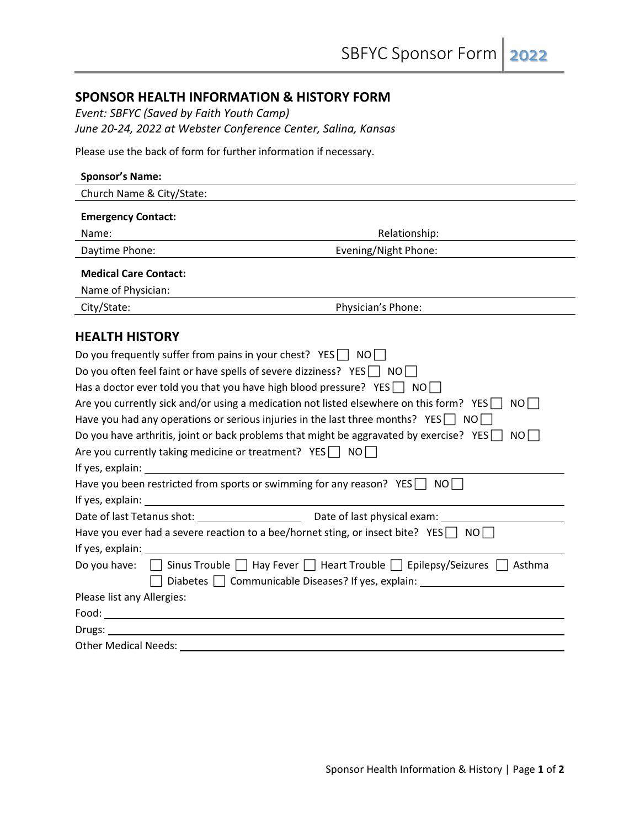# **SPONSOR HEALTH INFORMATION & HISTORY FORM**

*Event: SBFYC (Saved by Faith Youth Camp) June 20-24, 2022 at Webster Conference Center, Salina, Kansas*

Please use the back of form for further information if necessary.

| <b>Sponsor's Name:</b>                                                                                                                                                                                                         |  |  |  |
|--------------------------------------------------------------------------------------------------------------------------------------------------------------------------------------------------------------------------------|--|--|--|
| Church Name & City/State:                                                                                                                                                                                                      |  |  |  |
| <b>Emergency Contact:</b>                                                                                                                                                                                                      |  |  |  |
| Relationship:<br>Name:                                                                                                                                                                                                         |  |  |  |
| Evening/Night Phone:<br>Daytime Phone:                                                                                                                                                                                         |  |  |  |
| <b>Medical Care Contact:</b>                                                                                                                                                                                                   |  |  |  |
| Name of Physician:                                                                                                                                                                                                             |  |  |  |
| Physician's Phone:<br>City/State:                                                                                                                                                                                              |  |  |  |
| <b>HEALTH HISTORY</b>                                                                                                                                                                                                          |  |  |  |
|                                                                                                                                                                                                                                |  |  |  |
| Do you frequently suffer from pains in your chest? $YES \cap NO \cap$                                                                                                                                                          |  |  |  |
| Do you often feel faint or have spells of severe dizziness? YES $\Box$ NO $\Box$                                                                                                                                               |  |  |  |
| Has a doctor ever told you that you have high blood pressure? YES $\Box$ NO $\Box$                                                                                                                                             |  |  |  |
| Are you currently sick and/or using a medication not listed elsewhere on this form? YES<br>NO II                                                                                                                               |  |  |  |
| Have you had any operations or serious injuries in the last three months? YES $\Box$ NO $\Box$                                                                                                                                 |  |  |  |
| Do you have arthritis, joint or back problems that might be aggravated by exercise? YES $\Box$ NO $\Box$                                                                                                                       |  |  |  |
| Are you currently taking medicine or treatment? $YES \cap NO$                                                                                                                                                                  |  |  |  |
| If yes, explain: The same state of the state of the state of the state of the state of the state of the state of the state of the state of the state of the state of the state of the state of the state of the state of the s |  |  |  |
| Have you been restricted from sports or swimming for any reason? YES $\Box$ NO $\Box$                                                                                                                                          |  |  |  |
|                                                                                                                                                                                                                                |  |  |  |
|                                                                                                                                                                                                                                |  |  |  |
| Have you ever had a severe reaction to a bee/hornet sting, or insect bite? YES $\Box$ NO $\Box$                                                                                                                                |  |  |  |
| If yes, explain: 15                                                                                                                                                                                                            |  |  |  |
| $\Box$ Sinus Trouble $\Box$ Hay Fever $\Box$ Heart Trouble $\Box$ Epilepsy/Seizures $\Box$ Asthma<br>Do you have:                                                                                                              |  |  |  |
| Diabetes   Communicable Diseases? If yes, explain: _____________________________                                                                                                                                               |  |  |  |
| Please list any Allergies:                                                                                                                                                                                                     |  |  |  |
|                                                                                                                                                                                                                                |  |  |  |
| Drugs:                                                                                                                                                                                                                         |  |  |  |
| <b>Other Medical Needs:</b>                                                                                                                                                                                                    |  |  |  |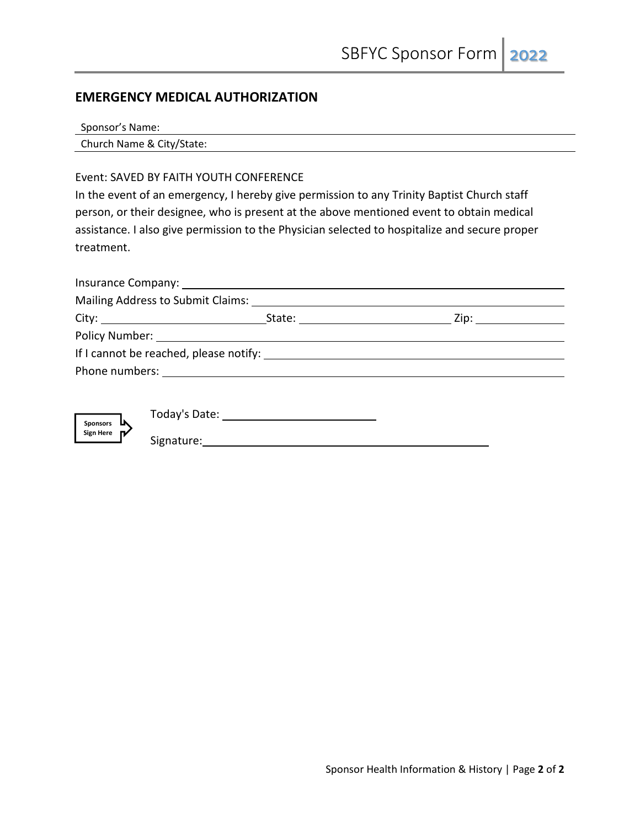# **EMERGENCY MEDICAL AUTHORIZATION**

| Sponsor's Name: |  |
|-----------------|--|
|-----------------|--|

Church Name & City/State:

#### Event: SAVED BY FAITH YOUTH CONFERENCE

In the event of an emergency, I hereby give permission to any Trinity Baptist Church staff person, or their designee, who is present at the above mentioned event to obtain medical assistance. I also give permission to the Physician selected to hospitalize and secure proper treatment.



Today's Date:

Signature: Management and Signature: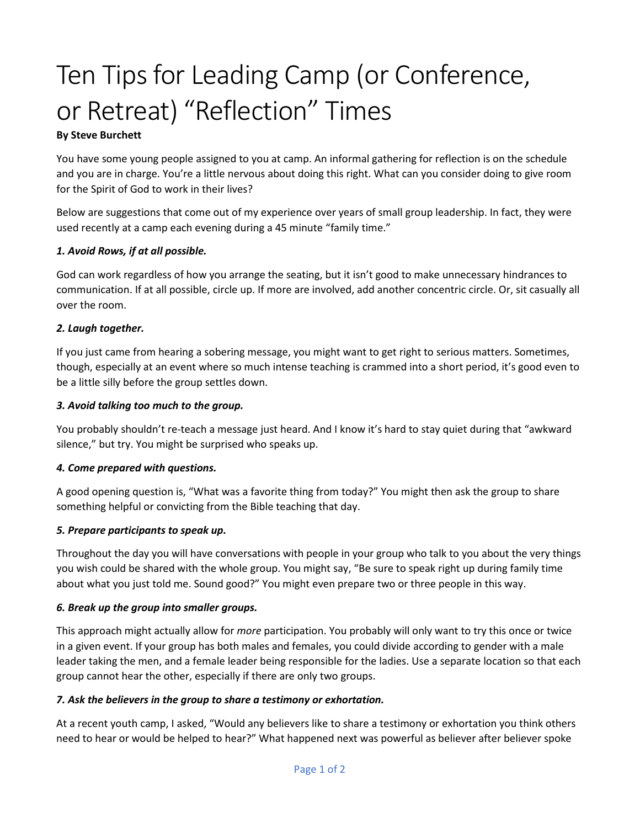# Ten Tips for Leading Camp (or Conference, or Retreat) "Reflection" Times

# **By Steve Burchett**

You have some young people assigned to you at camp. An informal gathering for reflection is on the schedule and you are in charge. You're a little nervous about doing this right. What can you consider doing to give room for the Spirit of God to work in their lives?

Below are suggestions that come out of my experience over years of small group leadership. In fact, they were used recently at a camp each evening during a 45 minute "family time."

#### *1. Avoid Rows, if at all possible.*

God can work regardless of how you arrange the seating, but it isn't good to make unnecessary hindrances to communication. If at all possible, circle up. If more are involved, add another concentric circle. Or, sit casually all over the room.

#### *2. Laugh together.*

If you just came from hearing a sobering message, you might want to get right to serious matters. Sometimes, though, especially at an event where so much intense teaching is crammed into a short period, it's good even to be a little silly before the group settles down.

#### *3. Avoid talking too much to the group.*

You probably shouldn't re-teach a message just heard. And I know it's hard to stay quiet during that "awkward silence," but try. You might be surprised who speaks up.

#### *4. Come prepared with questions.*

A good opening question is, "What was a favorite thing from today?" You might then ask the group to share something helpful or convicting from the Bible teaching that day.

#### *5. Prepare participants to speak up.*

Throughout the day you will have conversations with people in your group who talk to you about the very things you wish could be shared with the whole group. You might say, "Be sure to speak right up during family time about what you just told me. Sound good?" You might even prepare two or three people in this way.

#### *6. Break up the group into smaller groups.*

This approach might actually allow for *more* participation. You probably will only want to try this once or twice in a given event. If your group has both males and females, you could divide according to gender with a male leader taking the men, and a female leader being responsible for the ladies. Use a separate location so that each group cannot hear the other, especially if there are only two groups.

#### *7. Ask the believers in the group to share a testimony or exhortation.*

At a recent youth camp, I asked, "Would any believers like to share a testimony or exhortation you think others need to hear or would be helped to hear?" What happened next was powerful as believer after believer spoke